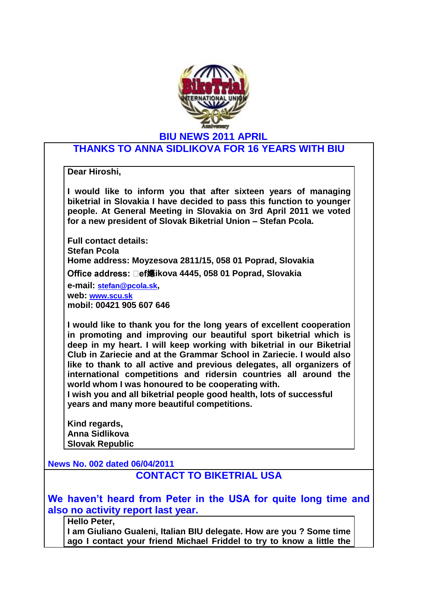

## **THANKS TO ANNA SIDLIKOVA FOR 16 YEARS WITH BIU**

**Dear Hiroshi,**

**I would like to inform you that after sixteen years of managing biketrial in Slovakia I have decided to pass this function to younger people. At General Meeting in Slovakia on 3rd April 2011 we voted for a new president of Slovak Biketrial Union – Stefan Pcola.**

**Full contact details: Stefan Pcola Home address: Moyzesova 2811/15, 058 01 Poprad, Slovakia Office address: □ef嫕ikova 4445, 058 01 Poprad, Slovakia e-mail: [stefan@pcola.sk](mailto:stefan@pcola.sk), web: [www.scu.sk](http://www.scu.sk/) mobil: 00421 905 607 646**

**I would like to thank you for the long years of excellent cooperation in promoting and improving our beautiful sport biketrial which is deep in my heart. I will keep working with biketrial in our Biketrial Club in Zariecie and at the Grammar School in Zariecie. I would also like to thank to all active and previous delegates, all organizers of international competitions and ridersin countries all around the world whom I was honoured to be cooperating with.**

**I wish you and all biketrial people good health, lots of successful years and many more beautiful competitions.**

**Kind regards, Anna Sidlikova Slovak Republic**

**News No. 002 dated 06/04/2011**

## **CONTACT TO BIKETRIAL USA**

**We haven't heard from Peter in the USA for quite long time and also no activity report last year.** 

**Hello Peter,**

**I am Giuliano Gualeni, Italian BIU delegate. How are you ? Some time ago I contact your friend Michael Friddel to try to know a little the**